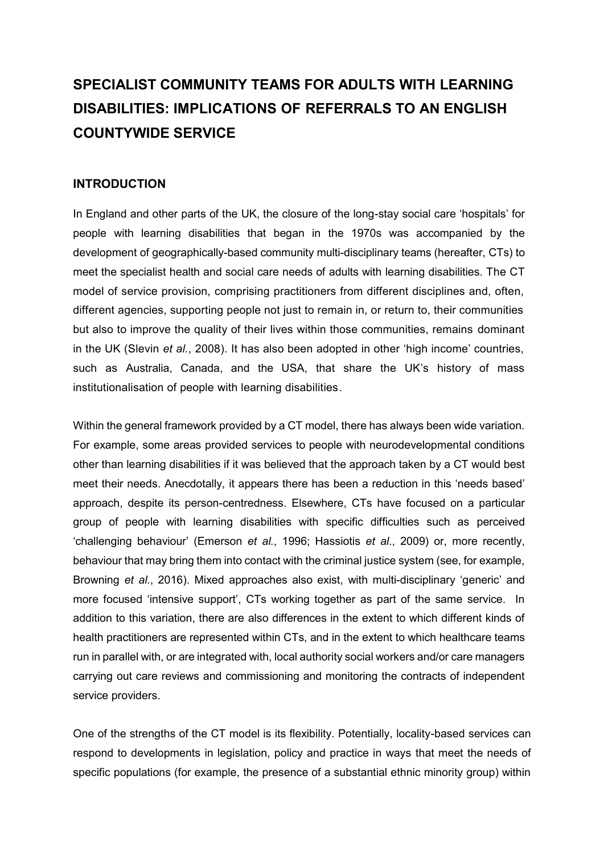# **SPECIALIST COMMUNITY TEAMS FOR ADULTS WITH LEARNING DISABILITIES: IMPLICATIONS OF REFERRALS TO AN ENGLISH COUNTYWIDE SERVICE**

## **INTRODUCTION**

In England and other parts of the UK, the closure of the long-stay social care 'hospitals' for people with learning disabilities that began in the 1970s was accompanied by the development of geographically-based community multi-disciplinary teams (hereafter, CTs) to meet the specialist health and social care needs of adults with learning disabilities. The CT model of service provision, comprising practitioners from different disciplines and, often, different agencies, supporting people not just to remain in, or return to, their communities but also to improve the quality of their lives within those communities, remains dominant in the UK (Slevin *et al.*, 2008). It has also been adopted in other 'high income' countries, such as Australia, Canada, and the USA, that share the UK's history of mass institutionalisation of people with learning disabilities.

Within the general framework provided by a CT model, there has always been wide variation. For example, some areas provided services to people with neurodevelopmental conditions other than learning disabilities if it was believed that the approach taken by a CT would best meet their needs. Anecdotally, it appears there has been a reduction in this 'needs based' approach, despite its person-centredness. Elsewhere, CTs have focused on a particular group of people with learning disabilities with specific difficulties such as perceived 'challenging behaviour' (Emerson *et al.*, 1996; Hassiotis *et al*., 2009) or, more recently, behaviour that may bring them into contact with the criminal justice system (see, for example, Browning *et al.*, 2016). Mixed approaches also exist, with multi-disciplinary 'generic' and more focused 'intensive support', CTs working together as part of the same service. In addition to this variation, there are also differences in the extent to which different kinds of health practitioners are represented within CTs, and in the extent to which healthcare teams run in parallel with, or are integrated with, local authority social workers and/or care managers carrying out care reviews and commissioning and monitoring the contracts of independent service providers.

One of the strengths of the CT model is its flexibility. Potentially, locality-based services can respond to developments in legislation, policy and practice in ways that meet the needs of specific populations (for example, the presence of a substantial ethnic minority group) within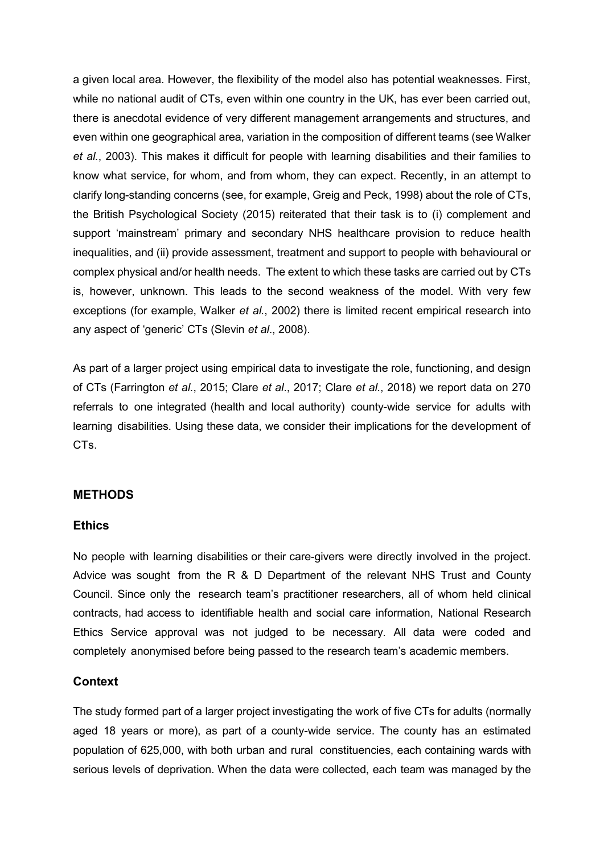a given local area. However, the flexibility of the model also has potential weaknesses. First, while no national audit of CTs, even within one country in the UK, has ever been carried out, there is anecdotal evidence of very different management arrangements and structures, and even within one geographical area, variation in the composition of different teams (see Walker *et al.*, 2003). This makes it difficult for people with learning disabilities and their families to know what service, for whom, and from whom, they can expect. Recently, in an attempt to clarify long-standing concerns (see, for example, Greig and Peck, 1998) about the role of CTs, the British Psychological Society (2015) reiterated that their task is to (i) complement and support 'mainstream' primary and secondary NHS healthcare provision to reduce health inequalities, and (ii) provide assessment, treatment and support to people with behavioural or complex physical and/or health needs. The extent to which these tasks are carried out by CTs is, however, unknown. This leads to the second weakness of the model. With very few exceptions (for example, Walker *et al.*, 2002) there is limited recent empirical research into any aspect of 'generic' CTs (Slevin *et al*., 2008).

As part of a larger project using empirical data to investigate the role, functioning, and design of CTs (Farrington *et al.*, 2015; Clare *et al*., 2017; Clare *et al.*, 2018) we report data on 270 referrals to one integrated (health and local authority) county-wide service for adults with learning disabilities. Using these data, we consider their implications for the development of CTs.

## **METHODS**

#### **Ethics**

No people with learning disabilities or their care-givers were directly involved in the project. Advice was sought from the R & D Department of the relevant NHS Trust and County Council. Since only the research team's practitioner researchers, all of whom held clinical contracts, had access to identifiable health and social care information, National Research Ethics Service approval was not judged to be necessary. All data were coded and completely anonymised before being passed to the research team's academic members.

#### **Context**

The study formed part of a larger project investigating the work of five CTs for adults (normally aged 18 years or more), as part of a county-wide service. The county has an estimated population of 625,000, with both urban and rural constituencies, each containing wards with serious levels of deprivation. When the data were collected, each team was managed by the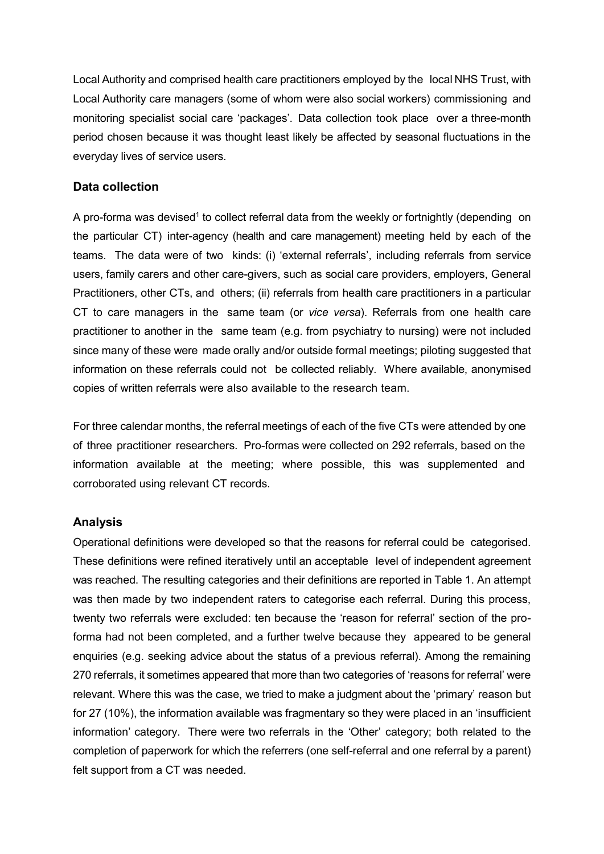Local Authority and comprised health care practitioners employed by the local NHS Trust, with Local Authority care managers (some of whom were also social workers) commissioning and monitoring specialist social care 'packages'. Data collection took place over a three-month period chosen because it was thought least likely be affected by seasonal fluctuations in the everyday lives of service users.

## **Data collection**

A pro-forma was devised<sup>1</sup> to collect referral data from the weekly or fortnightly (depending on the particular CT) inter-agency (health and care management) meeting held by each of the teams. The data were of two kinds: (i) 'external referrals', including referrals from service users, family carers and other care-givers, such as social care providers, employers, General Practitioners, other CTs, and others; (ii) referrals from health care practitioners in a particular CT to care managers in the same team (or *vice versa*). Referrals from one health care practitioner to another in the same team (e.g. from psychiatry to nursing) were not included since many of these were made orally and/or outside formal meetings; piloting suggested that information on these referrals could not be collected reliably. Where available, anonymised copies of written referrals were also available to the research team.

For three calendar months, the referral meetings of each of the five CTs were attended by one of three practitioner researchers. Pro-formas were collected on 292 referrals, based on the information available at the meeting; where possible, this was supplemented and corroborated using relevant CT records.

## **Analysis**

Operational definitions were developed so that the reasons for referral could be categorised. These definitions were refined iteratively until an acceptable level of independent agreement was reached. The resulting categories and their definitions are reported in Table 1. An attempt was then made by two independent raters to categorise each referral. During this process, twenty two referrals were excluded: ten because the 'reason for referral' section of the proforma had not been completed, and a further twelve because they appeared to be general enquiries (e.g. seeking advice about the status of a previous referral). Among the remaining 270 referrals, it sometimes appeared that more than two categories of 'reasons for referral' were relevant. Where this was the case, we tried to make a judgment about the 'primary' reason but for 27 (10%), the information available was fragmentary so they were placed in an 'insufficient information' category. There were two referrals in the 'Other' category; both related to the completion of paperwork for which the referrers (one self-referral and one referral by a parent) felt support from a CT was needed.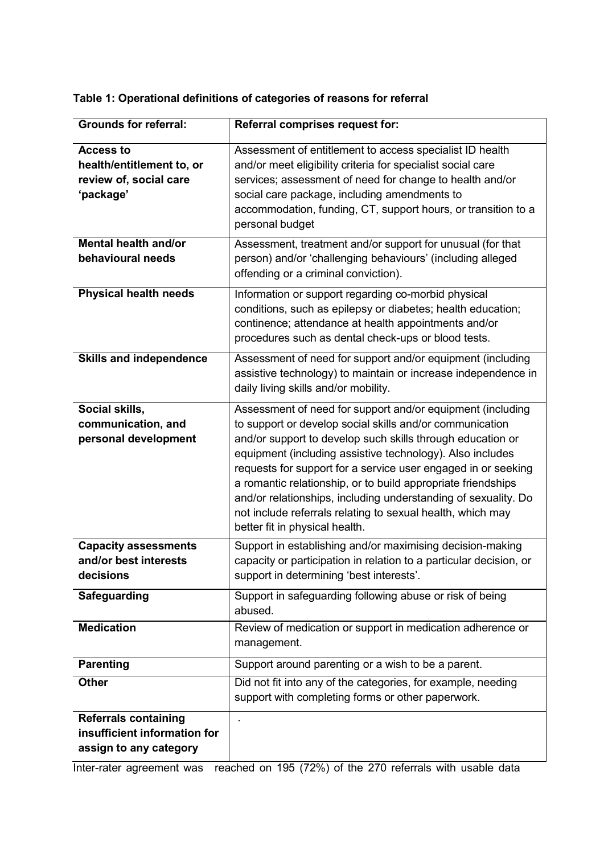#### **Grounds for referral: Referral comprises request for: Access to health/entitlement to, or review of, social care 'package'** Assessment of entitlement to access specialist ID health and/or meet eligibility criteria for specialist social care services; assessment of need for change to health and/or social care package, including amendments to accommodation, funding, CT, support hours, or transition to a personal budget **Mental health and/or behavioural needs** Assessment, treatment and/or support for unusual (for that person) and/or 'challenging behaviours' (including alleged offending or a criminal conviction). **Physical health needs** Information or support regarding co-morbid physical conditions, such as epilepsy or diabetes; health education; continence; attendance at health appointments and/or procedures such as dental check-ups or blood tests. **Skills and independence** Assessment of need for support and/or equipment (including assistive technology) to maintain or increase independence in daily living skills and/or mobility. **Social skills, communication, and personal development** Assessment of need for support and/or equipment (including to support or develop social skills and/or communication and/or support to develop such skills through education or equipment (including assistive technology). Also includes requests for support for a service user engaged in or seeking a romantic relationship, or to build appropriate friendships and/or relationships, including understanding of sexuality. Do not include referrals relating to sexual health, which may better fit in physical health. **Capacity assessments and/or best interests decisions** Support in establishing and/or maximising decision-making capacity or participation in relation to a particular decision, or support in determining 'best interests'. **Safeguarding** Support in safeguarding following abuse or risk of being abused. **Medication** Review of medication or support in medication adherence or management. **Parenting** Support around parenting or a wish to be a parent. **Other** Did not fit into any of the categories, for example, needing support with completing forms or other paperwork. **Referrals containing insufficient information for assign to any category** .

**Table 1: Operational definitions of categories of reasons for referral**

Inter-rater agreement was reached on 195 (72%) of the 270 referrals with usable data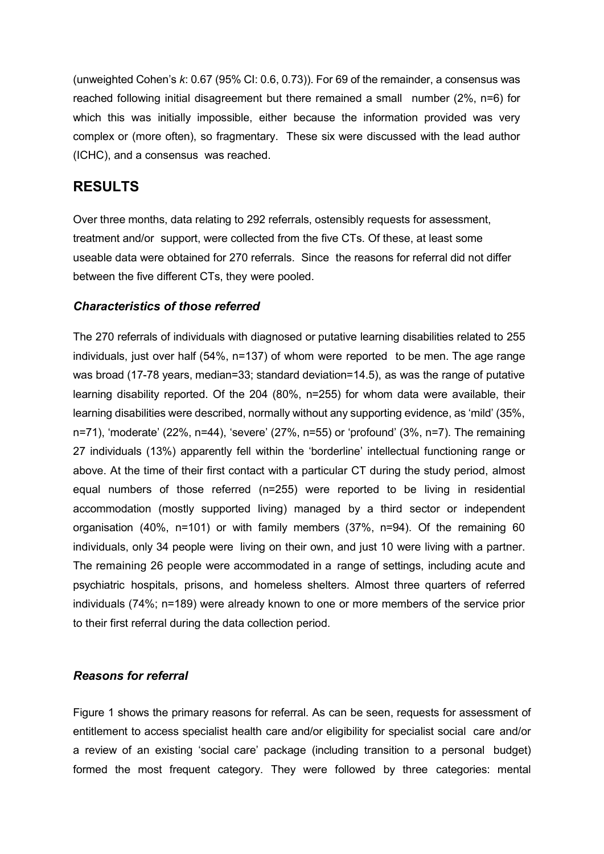(unweighted Cohen's *k*: 0.67 (95% CI: 0.6, 0.73)). For 69 of the remainder, a consensus was reached following initial disagreement but there remained a small number (2%, n=6) for which this was initially impossible, either because the information provided was very complex or (more often), so fragmentary. These six were discussed with the lead author (ICHC), and a consensus was reached.

## **RESULTS**

Over three months, data relating to 292 referrals, ostensibly requests for assessment, treatment and/or support, were collected from the five CTs. Of these, at least some useable data were obtained for 270 referrals. Since the reasons for referral did not differ between the five different CTs, they were pooled.

#### *Characteristics of those referred*

The 270 referrals of individuals with diagnosed or putative learning disabilities related to 255 individuals, just over half (54%, n=137) of whom were reported to be men. The age range was broad (17-78 years, median=33; standard deviation=14.5), as was the range of putative learning disability reported. Of the 204 (80%, n=255) for whom data were available, their learning disabilities were described, normally without any supporting evidence, as 'mild' (35%, n=71), 'moderate' (22%, n=44), 'severe' (27%, n=55) or 'profound' (3%, n=7). The remaining 27 individuals (13%) apparently fell within the 'borderline' intellectual functioning range or above. At the time of their first contact with a particular CT during the study period, almost equal numbers of those referred (n=255) were reported to be living in residential accommodation (mostly supported living) managed by a third sector or independent organisation (40%, n=101) or with family members (37%, n=94). Of the remaining 60 individuals, only 34 people were living on their own, and just 10 were living with a partner. The remaining 26 people were accommodated in a range of settings, including acute and psychiatric hospitals, prisons, and homeless shelters. Almost three quarters of referred individuals (74%; n=189) were already known to one or more members of the service prior to their first referral during the data collection period.

#### *Reasons for referral*

Figure 1 shows the primary reasons for referral. As can be seen, requests for assessment of entitlement to access specialist health care and/or eligibility for specialist social care and/or a review of an existing 'social care' package (including transition to a personal budget) formed the most frequent category. They were followed by three categories: mental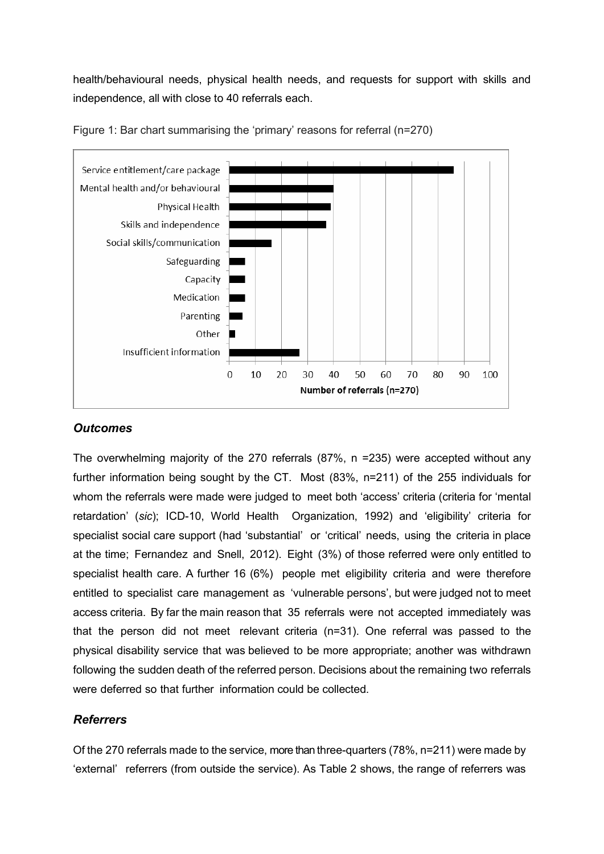health/behavioural needs, physical health needs, and requests for support with skills and independence, all with close to 40 referrals each.



Figure 1: Bar chart summarising the 'primary' reasons for referral (n=270)

## *Outcomes*

The overwhelming majority of the 270 referrals (87%, n =235) were accepted without any further information being sought by the CT. Most (83%, n=211) of the 255 individuals for whom the referrals were made were judged to meet both 'access' criteria (criteria for 'mental retardation' (*sic*); ICD-10, World Health Organization, 1992) and 'eligibility' criteria for specialist social care support (had 'substantial' or 'critical' needs, using the criteria in place at the time; Fernandez and Snell, 2012). Eight (3%) of those referred were only entitled to specialist health care. A further 16 (6%) people met eligibility criteria and were therefore entitled to specialist care management as 'vulnerable persons', but were judged not to meet access criteria. By far the main reason that 35 referrals were not accepted immediately was that the person did not meet relevant criteria (n=31). One referral was passed to the physical disability service that was believed to be more appropriate; another was withdrawn following the sudden death of the referred person. Decisions about the remaining two referrals were deferred so that further information could be collected.

## *Referrers*

Of the 270 referrals made to the service, more than three-quarters (78%, n=211) were made by 'external' referrers (from outside the service). As Table 2 shows, the range of referrers was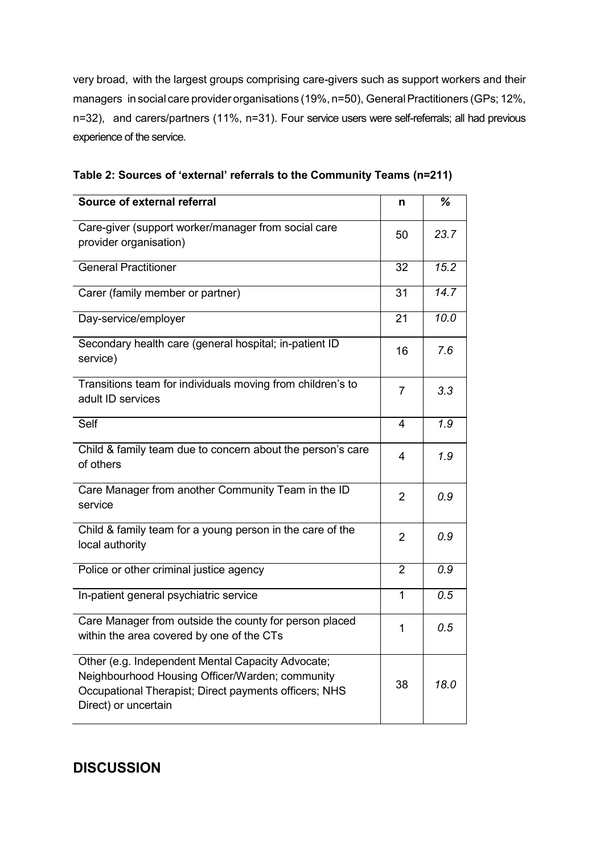very broad, with the largest groups comprising care-givers such as support workers and their managers in social care provider organisations (19%, n=50), General Practitioners (GPs; 12%, n=32), and carers/partners (11%, n=31). Four service users were self-referrals; all had previous experience of the service.

| Source of external referral                                                                                                                                                           | n               | %                |
|---------------------------------------------------------------------------------------------------------------------------------------------------------------------------------------|-----------------|------------------|
| Care-giver (support worker/manager from social care<br>provider organisation)                                                                                                         | 50              | 23.7             |
| <b>General Practitioner</b>                                                                                                                                                           | 32              | 15.2             |
| Carer (family member or partner)                                                                                                                                                      | $\overline{31}$ | 14.7             |
| Day-service/employer                                                                                                                                                                  | 21              | 10.0             |
| Secondary health care (general hospital; in-patient ID<br>service)                                                                                                                    | 16              | 7.6              |
| Transitions team for individuals moving from children's to<br>adult ID services                                                                                                       | 7               | 3.3              |
| Self                                                                                                                                                                                  | $\overline{4}$  | $\overline{1.9}$ |
| Child & family team due to concern about the person's care<br>of others                                                                                                               | 4               | 1.9              |
| Care Manager from another Community Team in the ID<br>service                                                                                                                         | 2               | 0.9              |
| Child & family team for a young person in the care of the<br>local authority                                                                                                          | 2               | 0.9              |
| Police or other criminal justice agency                                                                                                                                               | $\overline{2}$  | 0.9              |
| In-patient general psychiatric service                                                                                                                                                | $\overline{1}$  | $\overline{0.5}$ |
| Care Manager from outside the county for person placed<br>within the area covered by one of the CTs                                                                                   | 1               | 0.5              |
| Other (e.g. Independent Mental Capacity Advocate;<br>Neighbourhood Housing Officer/Warden; community<br>Occupational Therapist; Direct payments officers; NHS<br>Direct) or uncertain | 38              | 18.0             |

**DISCUSSION**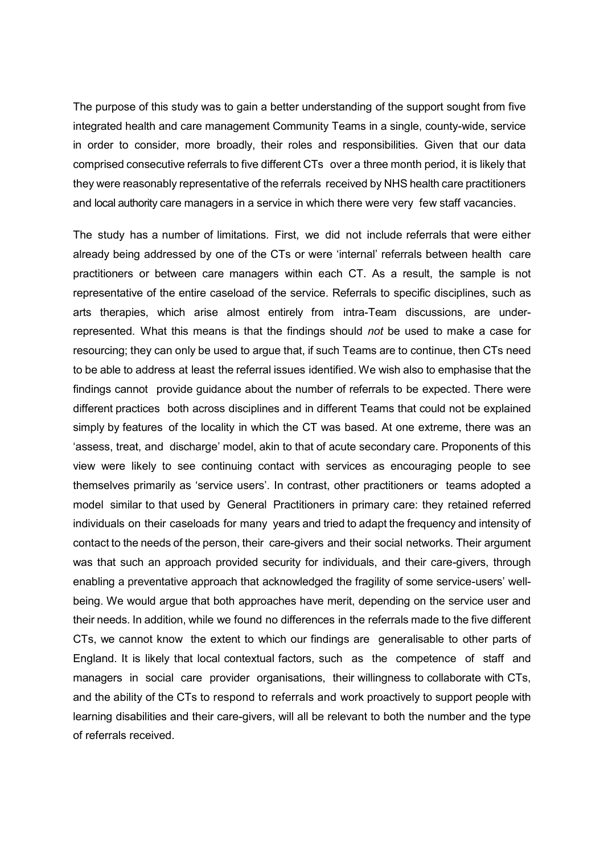The purpose of this study was to gain a better understanding of the support sought from five integrated health and care management Community Teams in a single, county-wide, service in order to consider, more broadly, their roles and responsibilities. Given that our data comprised consecutive referrals to five different CTs over a three month period, it is likely that they were reasonably representative of the referrals received by NHS health care practitioners and local authority care managers in a service in which there were very few staff vacancies.

The study has a number of limitations. First, we did not include referrals that were either already being addressed by one of the CTs or were 'internal' referrals between health care practitioners or between care managers within each CT. As a result, the sample is not representative of the entire caseload of the service. Referrals to specific disciplines, such as arts therapies, which arise almost entirely from intra-Team discussions, are underrepresented. What this means is that the findings should *not* be used to make a case for resourcing; they can only be used to argue that, if such Teams are to continue, then CTs need to be able to address at least the referral issues identified. We wish also to emphasise that the findings cannot provide guidance about the number of referrals to be expected. There were different practices both across disciplines and in different Teams that could not be explained simply by features of the locality in which the CT was based. At one extreme, there was an 'assess, treat, and discharge' model, akin to that of acute secondary care. Proponents of this view were likely to see continuing contact with services as encouraging people to see themselves primarily as 'service users'. In contrast, other practitioners or teams adopted a model similar to that used by General Practitioners in primary care: they retained referred individuals on their caseloads for many years and tried to adapt the frequency and intensity of contact to the needs of the person, their care-givers and their social networks. Their argument was that such an approach provided security for individuals, and their care-givers, through enabling a preventative approach that acknowledged the fragility of some service-users' wellbeing. We would argue that both approaches have merit, depending on the service user and their needs. In addition, while we found no differences in the referrals made to the five different CTs, we cannot know the extent to which our findings are generalisable to other parts of England. It is likely that local contextual factors, such as the competence of staff and managers in social care provider organisations, their willingness to collaborate with CTs, and the ability of the CTs to respond to referrals and work proactively to support people with learning disabilities and their care-givers, will all be relevant to both the number and the type of referrals received.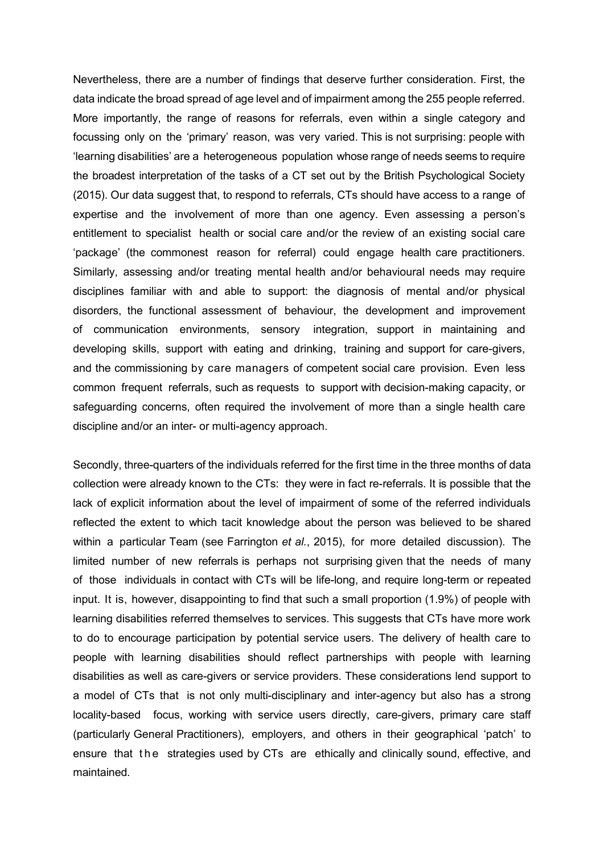Nevertheless, there are a number of findings that deserve further consideration. First, the data indicate the broad spread of age level and of impairment among the 255 people referred. More importantly, the range of reasons for referrals, even within a single category and focussing only on the 'primary' reason, was very varied. This is not surprising: people with 'learning disabilities' are a heterogeneous population whose range of needs seems to require the broadest interpretation of the tasks of a CT set out by the British Psychological Society (2015). Our data suggest that, to respond to referrals, CTs should have access to a range of expertise and the involvement of more than one agency. Even assessing a person's entitlement to specialist health or social care and/or the review of an existing social care 'package' (the commonest reason for referral) could engage health care practitioners. Similarly, assessing and/or treating mental health and/or behavioural needs may require disciplines familiar with and able to support: the diagnosis of mental and/or physical disorders, the functional assessment of behaviour, the development and improvement of communication environments, sensory integration, support in maintaining and developing skills, support with eating and drinking, training and support for care-givers, and the commissioning by care managers of competent social care provision. Even less common frequent referrals, such as requests to support with decision-making capacity, or safeguarding concerns, often required the involvement of more than a single health care discipline and/or an inter- or multi-agency approach.

Secondly, three-quarters of the individuals referred for the first time in the three months of data collection were already known to the CTs: they were in fact re-referrals. It is possible that the lack of explicit information about the level of impairment of some of the referred individuals reflected the extent to which tacit knowledge about the person was believed to be shared within a particular Team (see Farrington *et al.*, 2015), for more detailed discussion). The limited number of new referrals is perhaps not surprising given that the needs of many of those individuals in contact with CTs will be life-long, and require long-term or repeated input. It is, however, disappointing to find that such a small proportion (1.9%) of people with learning disabilities referred themselves to services. This suggests that CTs have more work to do to encourage participation by potential service users. The delivery of health care to people with learning disabilities should reflect partnerships with people with learning disabilities as well as care-givers or service providers. These considerations lend support to a model of CTs that is not only multi-disciplinary and inter-agency but also has a strong locality-based focus, working with service users directly, care-givers, primary care staff (particularly General Practitioners), employers, and others in their geographical 'patch' to ensure that the strategies used by CTs are ethically and clinically sound, effective, and maintained.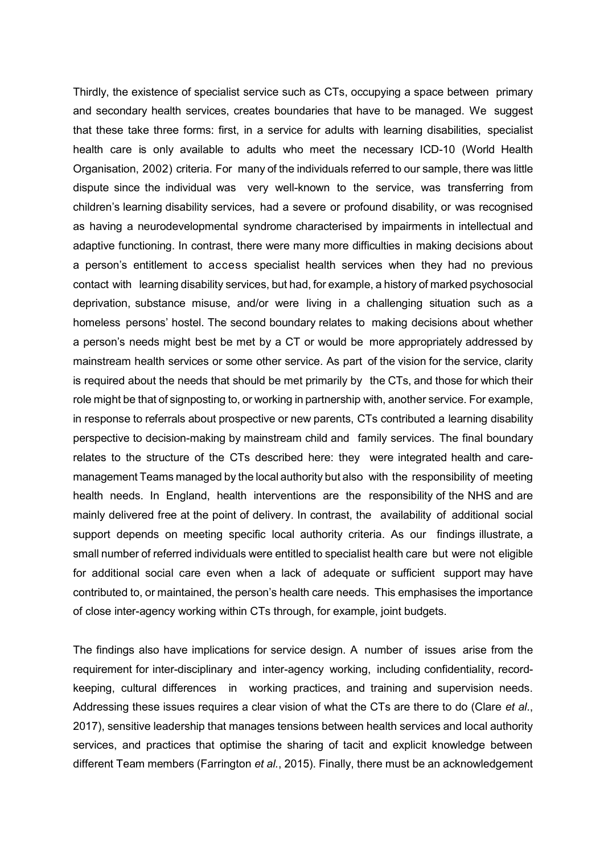Thirdly, the existence of specialist service such as CTs, occupying a space between primary and secondary health services, creates boundaries that have to be managed. We suggest that these take three forms: first, in a service for adults with learning disabilities, specialist health care is only available to adults who meet the necessary ICD-10 (World Health Organisation, 2002) criteria. For many of the individuals referred to our sample, there was little dispute since the individual was very well-known to the service, was transferring from children's learning disability services, had a severe or profound disability, or was recognised as having a neurodevelopmental syndrome characterised by impairments in intellectual and adaptive functioning. In contrast, there were many more difficulties in making decisions about a person's entitlement to access specialist health services when they had no previous contact with learning disability services, but had, for example, a history of marked psychosocial deprivation, substance misuse, and/or were living in a challenging situation such as a homeless persons' hostel. The second boundary relates to making decisions about whether a person's needs might best be met by a CT or would be more appropriately addressed by mainstream health services or some other service. As part of the vision for the service, clarity is required about the needs that should be met primarily by the CTs, and those for which their role might be that of signposting to, or working in partnership with, another service. For example, in response to referrals about prospective or new parents, CTs contributed a learning disability perspective to decision-making by mainstream child and family services. The final boundary relates to the structure of the CTs described here: they were integrated health and caremanagement Teams managed by the local authority but also with the responsibility of meeting health needs. In England, health interventions are the responsibility of the NHS and are mainly delivered free at the point of delivery. In contrast, the availability of additional social support depends on meeting specific local authority criteria. As our findings illustrate, a small number of referred individuals were entitled to specialist health care but were not eligible for additional social care even when a lack of adequate or sufficient support may have contributed to, or maintained, the person's health care needs. This emphasises the importance of close inter-agency working within CTs through, for example, joint budgets.

The findings also have implications for service design. A number of issues arise from the requirement for inter-disciplinary and inter-agency working, including confidentiality, recordkeeping, cultural differences in working practices, and training and supervision needs. Addressing these issues requires a clear vision of what the CTs are there to do (Clare *et al*., 2017), sensitive leadership that manages tensions between health services and local authority services, and practices that optimise the sharing of tacit and explicit knowledge between different Team members (Farrington *et al.*, 2015). Finally, there must be an acknowledgement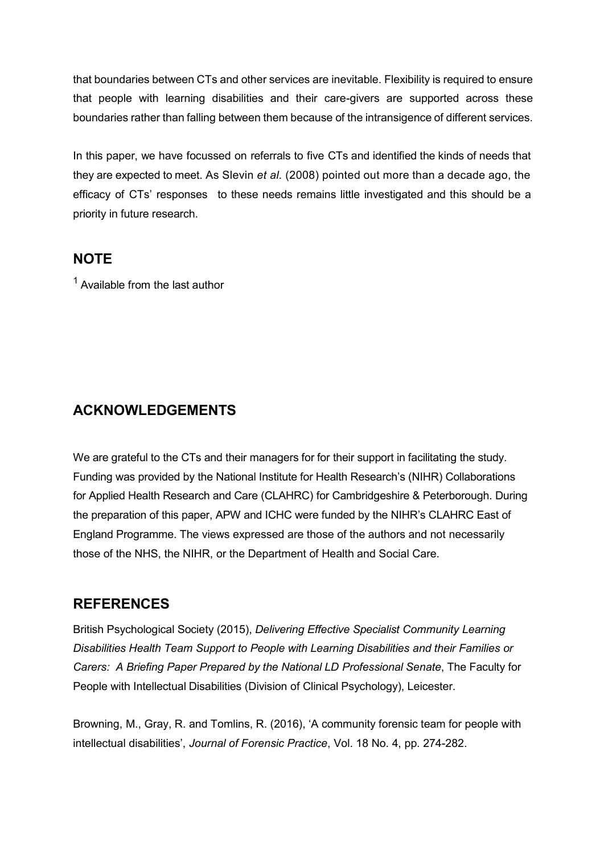that boundaries between CTs and other services are inevitable. Flexibility is required to ensure that people with learning disabilities and their care-givers are supported across these boundaries rather than falling between them because of the intransigence of different services.

In this paper, we have focussed on referrals to five CTs and identified the kinds of needs that they are expected to meet. As Slevin *et al.* (2008) pointed out more than a decade ago, the efficacy of CTs' responses to these needs remains little investigated and this should be a priority in future research.

## **NOTE**

 $<sup>1</sup>$  Available from the last author</sup>

# **ACKNOWLEDGEMENTS**

We are grateful to the CTs and their managers for for their support in facilitating the study. Funding was provided by the National Institute for Health Research's (NIHR) Collaborations for Applied Health Research and Care (CLAHRC) for Cambridgeshire & Peterborough. During the preparation of this paper, APW and ICHC were funded by the NIHR's CLAHRC East of England Programme. The views expressed are those of the authors and not necessarily those of the NHS, the NIHR, or the Department of Health and Social Care.

# **REFERENCES**

British Psychological Society (2015), *Delivering Effective Specialist Community Learning Disabilities Health Team Support to People with Learning Disabilities and their Families or Carers: A Briefing Paper Prepared by the National LD Professional Senate*, The Faculty for People with Intellectual Disabilities (Division of Clinical Psychology), Leicester.

Browning, M., Gray, R. and Tomlins, R. (2016), 'A community forensic team for people with intellectual disabilities', *Journal of Forensic Practice*, Vol. 18 No. 4, pp. 274-282.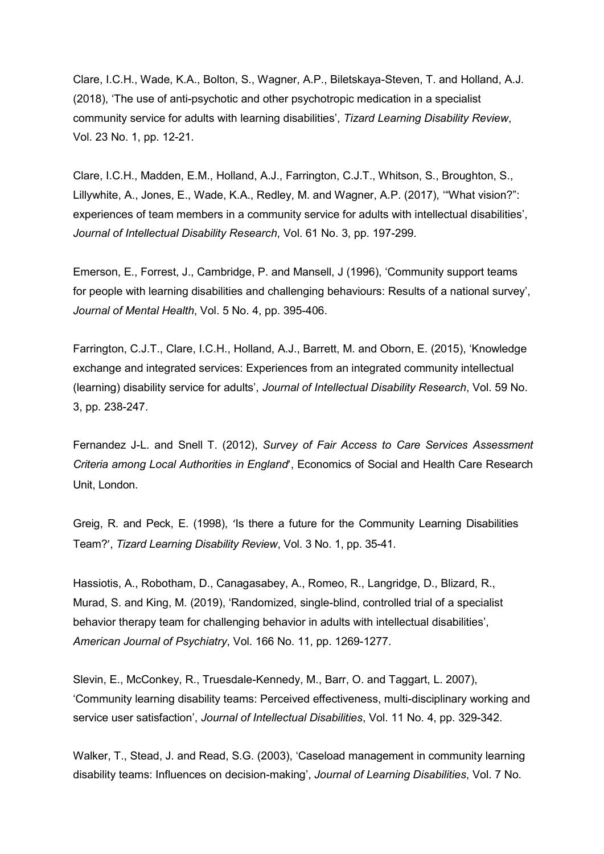Clare, I.C.H., Wade, K.A., Bolton, S., Wagner, A.P., Biletskaya-Steven, T. and Holland, A.J. (2018), 'The use of anti-psychotic and other psychotropic medication in a specialist community service for adults with learning disabilities', *Tizard Learning Disability Review*, Vol. 23 No. 1, pp. 12-21.

Clare, I.C.H., Madden, E.M., Holland, A.J., Farrington, C.J.T., Whitson, S., Broughton, S., Lillywhite, A., Jones, E., Wade, K.A., Redley, M. and Wagner, A.P. (2017), '"What vision?": experiences of team members in a community service for adults with intellectual disabilities', *Journal of Intellectual Disability Research*, Vol. 61 No. 3, pp. 197-299.

Emerson, E., Forrest, J., Cambridge, P. and Mansell, J (1996), 'Community support teams for people with learning disabilities and challenging behaviours: Results of a national survey', *Journal of Mental Health*, Vol. 5 No. 4, pp. 395-406.

Farrington, C.J.T., Clare, I.C.H., Holland, A.J., Barrett, M. and Oborn, E. (2015), 'Knowledge exchange and integrated services: Experiences from an integrated community intellectual (learning) disability service for adults', *Journal of Intellectual Disability Research*, Vol. 59 No. 3, pp. 238-247.

Fernandez J-L. and Snell T. (2012), *Survey of Fair Access to Care Services Assessment Criteria among Local Authorities in England*', Economics of Social and Health Care Research Unit, London.

Greig, R. and Peck, E. (1998), 'Is there a future for the Community Learning Disabilities Team?', *Tizard Learning Disability Review*, Vol. 3 No. 1, pp. 35-41.

Hassiotis, A., Robotham, D., Canagasabey, A., Romeo, R., Langridge, D., Blizard, R., Murad, S. and King, M. (2019), 'Randomized, single-blind, controlled trial of a specialist behavior therapy team for challenging behavior in adults with intellectual disabilities', *American Journal of Psychiatry*, Vol. 166 No. 11, pp. 1269-1277.

Slevin, E., McConkey, R., Truesdale-Kennedy, M., Barr, O. and Taggart, L. 2007), 'Community learning disability teams: Perceived effectiveness, multi-disciplinary working and service user satisfaction', *Journal of Intellectual Disabilities*, Vol. 11 No. 4, pp. 329-342.

Walker, T., Stead, J. and Read, S.G. (2003), 'Caseload management in community learning disability teams: Influences on decision-making', *Journal of Learning Disabilities*, Vol. 7 No.